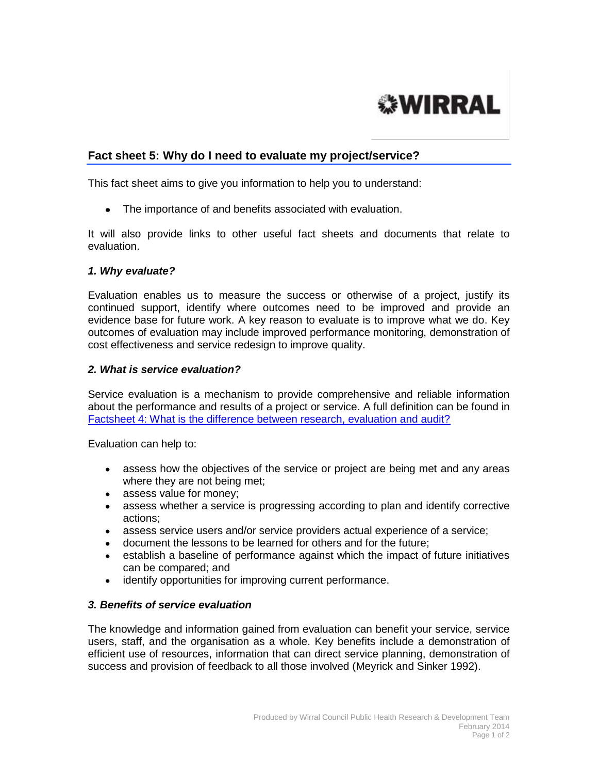

# **Fact sheet 5: Why do I need to evaluate my project/service?**

This fact sheet aims to give you information to help you to understand:

The importance of and benefits associated with evaluation.

It will also provide links to other useful fact sheets and documents that relate to evaluation.

#### *1. Why evaluate?*

Evaluation enables us to measure the success or otherwise of a project, justify its continued support, identify where outcomes need to be improved and provide an evidence base for future work. A key reason to evaluate is to improve what we do. Key outcomes of evaluation may include improved performance monitoring, demonstration of cost effectiveness and service redesign to improve quality.

#### *2. What is service evaluation?*

Service evaluation is a mechanism to provide comprehensive and reliable information about the performance and results of a project or service. A full definition can be found in [Factsheet 4: What is the difference between research, evaluation and audit?](http://info.wirral.nhs.uk/intelligencehub/howtofact-sheetsonevidence&research.html)

Evaluation can help to:

- assess how the objectives of the service or project are being met and any areas where they are not being met;
- assess value for money;
- assess whether a service is progressing according to plan and identify corrective actions;
- assess service users and/or service providers actual experience of a service;
- document the lessons to be learned for others and for the future;
- establish a baseline of performance against which the impact of future initiatives can be compared; and
- identify opportunities for improving current performance.  $\bullet$

#### *3. Benefits of service evaluation*

The knowledge and information gained from evaluation can benefit your service, service users, staff, and the organisation as a whole. Key benefits include a demonstration of efficient use of resources, information that can direct service planning, demonstration of success and provision of feedback to all those involved (Meyrick and Sinker 1992).